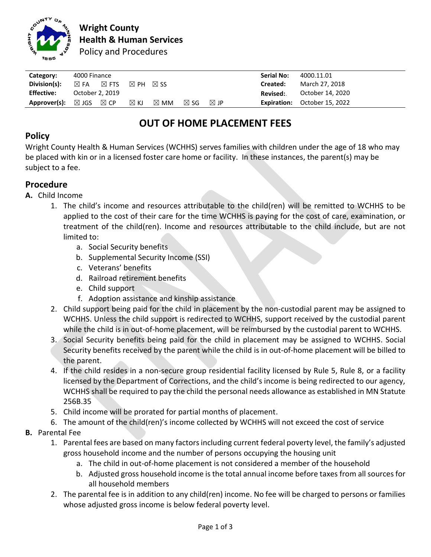

| Category:         | 4000 Finance                      |                |                |                |                | <b>Serial No:</b> | 4000.11.01 |                                     |
|-------------------|-----------------------------------|----------------|----------------|----------------|----------------|-------------------|------------|-------------------------------------|
| Division(s):      | $\boxtimes$ FTS<br>$\boxtimes$ FA | $\boxtimes$ PH | $\boxtimes$ SS |                |                |                   | Created:   | March 27, 2018                      |
| <b>Effective:</b> | October 2, 2019                   |                |                |                |                |                   | Revised:.  | October 14, 2020                    |
| Approver(s):      | $\boxtimes$ CP<br>$\boxtimes$ JGS | $\boxtimes$ KJ | $\boxtimes$ MM | $\boxtimes$ SG | $\boxtimes$ JP |                   |            | <b>Expiration:</b> October 15, 2022 |

# **OUT OF HOME PLACEMENT FEES**

## **Policy**

Wright County Health & Human Services (WCHHS) serves families with children under the age of 18 who may be placed with kin or in a licensed foster care home or facility. In these instances, the parent(s) may be subject to a fee.

## **Procedure**

- **A.** Child Income
	- 1. The child's income and resources attributable to the child(ren) will be remitted to WCHHS to be applied to the cost of their care for the time WCHHS is paying for the cost of care, examination, or treatment of the child(ren). Income and resources attributable to the child include, but are not limited to:
		- a. Social Security benefits
		- b. Supplemental Security Income (SSI)
		- c. Veterans' benefits
		- d. Railroad retirement benefits
		- e. Child support
		- f. Adoption assistance and kinship assistance
	- 2. Child support being paid for the child in placement by the non-custodial parent may be assigned to WCHHS. Unless the child support is redirected to WCHHS, support received by the custodial parent while the child is in out-of-home placement, will be reimbursed by the custodial parent to WCHHS.
	- 3. Social Security benefits being paid for the child in placement may be assigned to WCHHS. Social Security benefits received by the parent while the child is in out-of-home placement will be billed to the parent.
	- 4. If the child resides in a non-secure group residential facility licensed by Rule 5, Rule 8, or a facility licensed by the Department of Corrections, and the child's income is being redirected to our agency, WCHHS shall be required to pay the child the personal needs allowance as established in MN Statute 256B.35
	- 5. Child income will be prorated for partial months of placement.
	- 6. The amount of the child(ren)'s income collected by WCHHS will not exceed the cost of service

#### **B.** Parental Fee

- 1. Parental fees are based on many factors including current federal poverty level, the family's adjusted gross household income and the number of persons occupying the housing unit
	- a. The child in out-of-home placement is not considered a member of the household
	- b. Adjusted gross household income is the total annual income before taxes from all sources for all household members
- 2. The parental fee is in addition to any child(ren) income. No fee will be charged to persons or families whose adjusted gross income is below federal poverty level.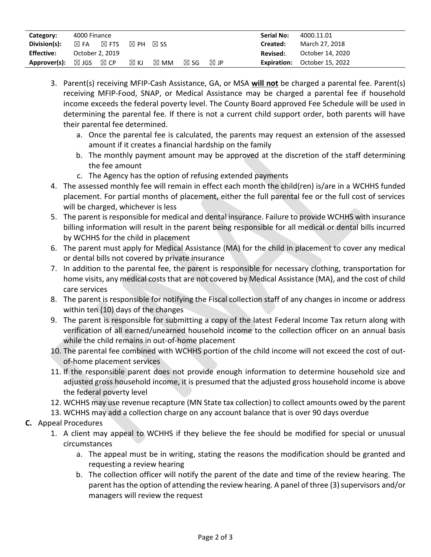| Category:                                          | 4000 Finance    |                 |                |                |                | <b>Serial No:</b> | 4000.11.01 |                                     |
|----------------------------------------------------|-----------------|-----------------|----------------|----------------|----------------|-------------------|------------|-------------------------------------|
| Division(s):                                       | $\boxtimes$ FA  | $\boxtimes$ FTS | $\boxtimes$ PH | $\times$ SS    |                |                   | Created:   | March 27, 2018                      |
| <b>Effective:</b>                                  | October 2, 2019 |                 |                |                |                |                   | Revised:   | October 14, 2020                    |
| <b>Approver(s):</b> $\boxtimes$ JGS $\boxtimes$ CP |                 |                 | $\boxtimes$ KJ | $\boxtimes$ MM | $\boxtimes$ SG | $\boxtimes$ JP    |            | <b>Expiration:</b> October 15, 2022 |

- 3. Parent(s) receiving MFIP-Cash Assistance, GA, or MSA **will not** be charged a parental fee. Parent(s) receiving MFIP-Food, SNAP, or Medical Assistance may be charged a parental fee if household income exceeds the federal poverty level. The County Board approved Fee Schedule will be used in determining the parental fee. If there is not a current child support order, both parents will have their parental fee determined.
	- a. Once the parental fee is calculated, the parents may request an extension of the assessed amount if it creates a financial hardship on the family
	- b. The monthly payment amount may be approved at the discretion of the staff determining the fee amount
	- c. The Agency has the option of refusing extended payments
- 4. The assessed monthly fee will remain in effect each month the child(ren) is/are in a WCHHS funded placement. For partial months of placement, either the full parental fee or the full cost of services will be charged, whichever is less
- 5. The parent is responsible for medical and dental insurance. Failure to provide WCHHS with insurance billing information will result in the parent being responsible for all medical or dental bills incurred by WCHHS for the child in placement
- 6. The parent must apply for Medical Assistance (MA) for the child in placement to cover any medical or dental bills not covered by private insurance
- 7. In addition to the parental fee, the parent is responsible for necessary clothing, transportation for home visits, any medical costs that are not covered by Medical Assistance (MA), and the cost of child care services
- 8. The parent is responsible for notifying the Fiscal collection staff of any changes in income or address within ten (10) days of the changes
- 9. The parent is responsible for submitting a copy of the latest Federal Income Tax return along with verification of all earned/unearned household income to the collection officer on an annual basis while the child remains in out-of-home placement
- 10. The parental fee combined with WCHHS portion of the child income will not exceed the cost of outof-home placement services
- 11. If the responsible parent does not provide enough information to determine household size and adjusted gross household income, it is presumed that the adjusted gross household income is above the federal poverty level
- 12. WCHHS may use revenue recapture (MN State tax collection) to collect amounts owed by the parent
- 13. WCHHS may add a collection charge on any account balance that is over 90 days overdue
- **C.** Appeal Procedures
	- 1. A client may appeal to WCHHS if they believe the fee should be modified for special or unusual circumstances
		- a. The appeal must be in writing, stating the reasons the modification should be granted and requesting a review hearing
		- b. The collection officer will notify the parent of the date and time of the review hearing. The parent has the option of attending the review hearing. A panel of three (3) supervisors and/or managers will review the request